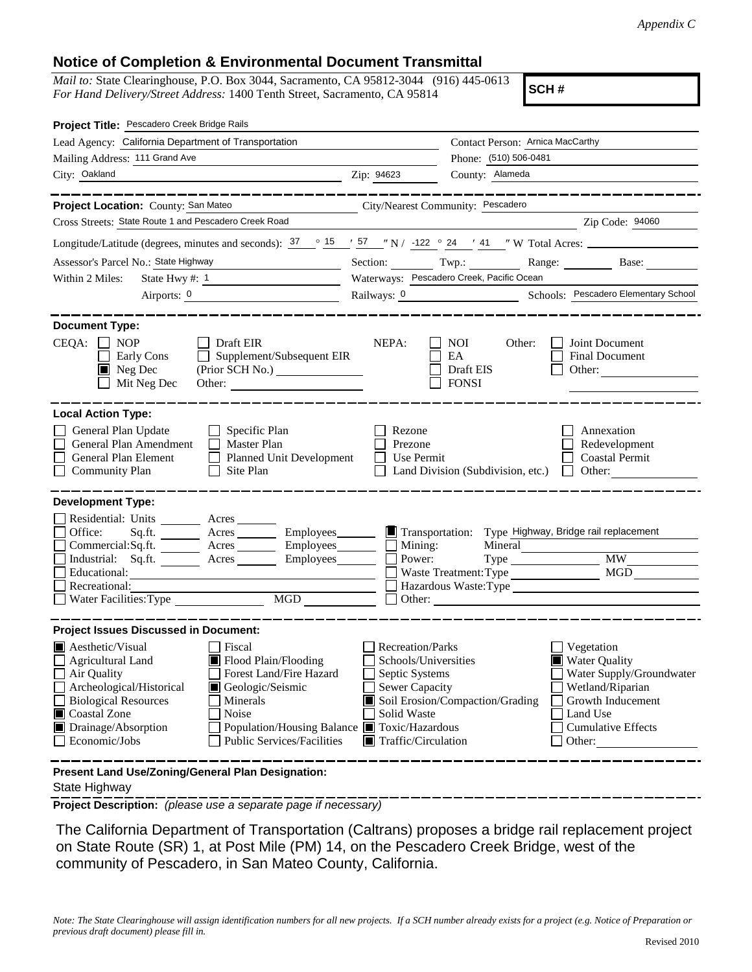## **Notice of Completion & Environmental Document Transmittal**

*Mail to:* State Clearinghouse, P.O. Box 3044, Sacramento, CA 95812-3044 (916) 445-0613 *For Hand Delivery/Street Address:* 1400 Tenth Street, Sacramento, CA 95814

**SCH #**

| Project Title: Pescadero Creek Bridge Rails                                                                                                                                                                                                                                                                                                                                              |                                                                                                   |                                                                                                                                |                                                                                                                                                     |
|------------------------------------------------------------------------------------------------------------------------------------------------------------------------------------------------------------------------------------------------------------------------------------------------------------------------------------------------------------------------------------------|---------------------------------------------------------------------------------------------------|--------------------------------------------------------------------------------------------------------------------------------|-----------------------------------------------------------------------------------------------------------------------------------------------------|
| Lead Agency: California Department of Transportation                                                                                                                                                                                                                                                                                                                                     | Contact Person: Arnica MacCarthy                                                                  |                                                                                                                                |                                                                                                                                                     |
| Mailing Address: 111 Grand Ave                                                                                                                                                                                                                                                                                                                                                           | Phone: (510) 506-0481                                                                             |                                                                                                                                |                                                                                                                                                     |
| City: Oakland                                                                                                                                                                                                                                                                                                                                                                            | Zip: 94623                                                                                        | County: Alameda                                                                                                                |                                                                                                                                                     |
|                                                                                                                                                                                                                                                                                                                                                                                          |                                                                                                   |                                                                                                                                |                                                                                                                                                     |
| Project Location: County: San Mateo                                                                                                                                                                                                                                                                                                                                                      |                                                                                                   | City/Nearest Community: Pescadero                                                                                              |                                                                                                                                                     |
| Cross Streets: State Route 1 and Pescadero Creek Road                                                                                                                                                                                                                                                                                                                                    |                                                                                                   |                                                                                                                                | Zip Code: 94060                                                                                                                                     |
| Longitude/Latitude (degrees, minutes and seconds): $\frac{37}{15}$ $\frac{15}{15}$ $\frac{15}{15}$ $\frac{15}{15}$ $\frac{15}{15}$ $\frac{15}{15}$ $\frac{15}{15}$ $\frac{15}{15}$ $\frac{15}{15}$ $\frac{15}{15}$ $\frac{15}{15}$ $\frac{15}{15}$ $\frac{15}{15}$ $\frac{15}{15}$ $\$                                                                                                   |                                                                                                   |                                                                                                                                |                                                                                                                                                     |
| Assessor's Parcel No.: State Highway<br><u> 1980 - Jan Alexandria (h. 1980).</u>                                                                                                                                                                                                                                                                                                         |                                                                                                   |                                                                                                                                | Section: Twp.: Twp.: Range: Base: Base:                                                                                                             |
| Within 2 Miles:<br>State Hwy #: $1$<br><u> 1989 - Johann Barn, mars ann an t-Saint-Saint-</u>                                                                                                                                                                                                                                                                                            |                                                                                                   | Waterways: Pescadero Creek, Pacific Ocean                                                                                      |                                                                                                                                                     |
| Airports: 0                                                                                                                                                                                                                                                                                                                                                                              |                                                                                                   |                                                                                                                                | Railways: 0 Schools: Pescadero Elementary School                                                                                                    |
| <b>Document Type:</b><br>$CEQA: \Box NP$<br>Draft EIR<br>Supplement/Subsequent EIR<br>Early Cons<br>$\blacksquare$ Neg Dec<br>Mit Neg Dec                                                                                                                                                                                                                                                | NEPA:                                                                                             | <b>NOI</b><br>Other:<br>EA<br>Draft EIS<br><b>FONSI</b>                                                                        | Joint Document<br><b>Final Document</b><br>Other:                                                                                                   |
| <b>Local Action Type:</b><br>General Plan Update<br>$\Box$ Specific Plan<br>General Plan Amendment<br>$\Box$ Master Plan<br>General Plan Element<br>Planned Unit Development<br><b>Community Plan</b><br>$\Box$ Site Plan                                                                                                                                                                | Rezone<br>Prezone<br>Use Permit                                                                   | Land Division (Subdivision, etc.)                                                                                              | Annexation<br>Redevelopment<br><b>Coastal Permit</b><br>Other:<br>$\perp$                                                                           |
| <b>Development Type:</b>                                                                                                                                                                                                                                                                                                                                                                 |                                                                                                   |                                                                                                                                |                                                                                                                                                     |
| Residential: Units ________ Acres _____<br>Office:<br>Acres __________ Employees________<br>Sq.fit.<br>$Commercial:Sq.fit.$ Acres $\_\_\_\_\$ Employees $\_\_\_\_\$ Mining:<br>Industrial: Sq.ft. _______ Acres _______ Employees_______ $\Box$<br>Educational:<br>Recreational:<br>MGD<br>Water Facilities: Type                                                                        | Power:                                                                                            | Transportation: Type Highway, Bridge rail replacement<br>Mineral<br>$Type \_$<br>Waste Treatment: Type<br>Hazardous Waste:Type | <b>MW</b><br>MGD                                                                                                                                    |
| <b>Project Issues Discussed in Document:</b>                                                                                                                                                                                                                                                                                                                                             |                                                                                                   |                                                                                                                                |                                                                                                                                                     |
| <b>Aesthetic/Visual</b><br>Fiscal<br>Agricultural Land<br>$\blacksquare$ Flood Plain/Flooding<br>Air Quality<br>Forest Land/Fire Hazard<br>Archeological/Historical<br>Geologic/Seismic<br><b>Biological Resources</b><br>Minerals<br>Coastal Zone<br>Noise<br>Drainage/Absorption<br>Population/Housing Balance ■ Toxic/Hazardous<br>Economic/Jobs<br><b>Public Services/Facilities</b> | <b>Recreation/Parks</b><br>Septic Systems<br>Sewer Capacity<br>Solid Waste<br>Traffic/Circulation | Schools/Universities<br>Soil Erosion/Compaction/Grading                                                                        | Vegetation<br>Water Quality<br>Water Supply/Groundwater<br>Wetland/Riparian<br>Growth Inducement<br>Land Use<br><b>Cumulative Effects</b><br>Other: |
| Present Land Use/Zoning/General Plan Designation:                                                                                                                                                                                                                                                                                                                                        |                                                                                                   |                                                                                                                                |                                                                                                                                                     |

State Highway

**Project Description:** *(please use a separate page if necessary)*

 The California Department of Transportation (Caltrans) proposes a bridge rail replacement project on State Route (SR) 1, at Post Mile (PM) 14, on the Pescadero Creek Bridge, west of the community of Pescadero, in San Mateo County, California.